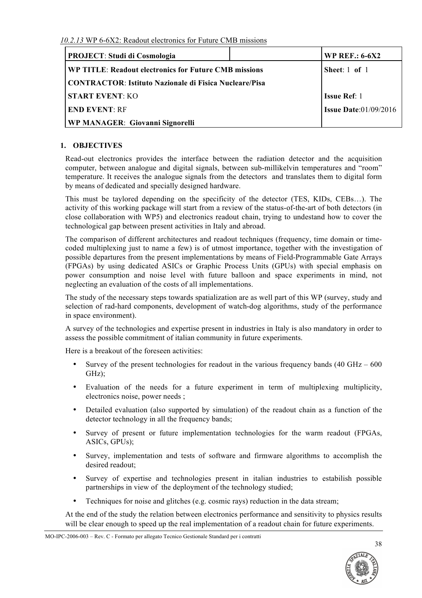| <b>PROJECT: Studi di Cosmologia</b>                           | <b>WP REF.: 6-6X2</b>           |
|---------------------------------------------------------------|---------------------------------|
| <b>WP TITLE: Readout electronics for Future CMB missions</b>  | Sheet: $1$ of $1$               |
| <b>CONTRACTOR:</b> Istituto Nazionale di Fisica Nucleare/Pisa |                                 |
| <b>START EVENT: KO</b>                                        | <b>Issue Ref</b> : 1            |
| <b>END EVENT: RF</b>                                          | <b>Issue Date:</b> $01/09/2016$ |
| <b>WP MANAGER: Giovanni Signorelli</b>                        |                                 |

# **1. OBJECTIVES**

Read-out electronics provides the interface between the radiation detector and the acquisition computer, between analogue and digital signals, between sub-millikelvin temperatures and "room" temperature. It receives the analogue signals from the detectors and translates them to digital form by means of dedicated and specially designed hardware.

This must be taylored depending on the specificity of the detector (TES, KIDs, CEBs…). The activity of this working package will start from a review of the status-of-the-art of both detectors (in close collaboration with WP5) and electronics readout chain, trying to undestand how to cover the technological gap between present activities in Italy and abroad.

The comparison of different architectures and readout techniques (frequency, time domain or timecoded multiplexing just to name a few) is of utmost importance, together with the investigation of possible departures from the present implementations by means of Field-Programmable Gate Arrays (FPGAs) by using dedicated ASICs or Graphic Process Units (GPUs) with special emphasis on power consumption and noise level with future balloon and space experiments in mind, not neglecting an evaluation of the costs of all implementations.

The study of the necessary steps towards spatialization are as well part of this WP (survey, study and selection of rad-hard components, development of watch-dog algorithms, study of the performance in space environment).

A survey of the technologies and expertise present in industries in Italy is also mandatory in order to assess the possible commitment of italian community in future experiments.

Here is a breakout of the foreseen activities:

- Survey of the present technologies for readout in the various frequency bands  $(40 \text{ GHz} 600 \text{ s})$ GHz);
- Evaluation of the needs for a future experiment in term of multiplexing multiplicity, electronics noise, power needs ;
- Detailed evaluation (also supported by simulation) of the readout chain as a function of the detector technology in all the frequency bands;
- Survey of present or future implementation technologies for the warm readout (FPGAs, ASICs, GPUs);
- Survey, implementation and tests of software and firmware algorithms to accomplish the desired readout;
- Survey of expertise and technologies present in italian industries to estabilish possible partnerships in view of the deployment of the technology studied;
- Techniques for noise and glitches (e.g. cosmic rays) reduction in the data stream;

At the end of the study the relation between electronics performance and sensitivity to physics results will be clear enough to speed up the real implementation of a readout chain for future experiments.



MO-IPC-2006-003 – Rev. C - Formato per allegato Tecnico Gestionale Standard per i contratti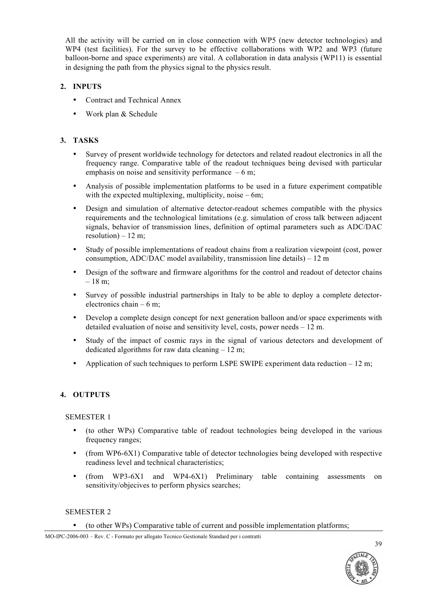All the activity will be carried on in close connection with WP5 (new detector technologies) and WP4 (test facilities). For the survey to be effective collaborations with WP2 and WP3 (future balloon-borne and space experiments) are vital. A collaboration in data analysis (WP11) is essential in designing the path from the physics signal to the physics result.

### **2. INPUTS**

- Contract and Technical Annex
- Work plan & Schedule

### **3. TASKS**

- Survey of present worldwide technology for detectors and related readout electronics in all the frequency range. Comparative table of the readout techniques being devised with particular emphasis on noise and sensitivity performance  $-6$  m;
- Analysis of possible implementation platforms to be used in a future experiment compatible with the expected multiplexing, multiplicity, noise  $-6m$ ;
- Design and simulation of alternative detector-readout schemes compatible with the physics requirements and the technological limitations (e.g. simulation of cross talk between adjacent signals, behavior of transmission lines, definition of optimal parameters such as ADC/DAC resolution) –  $12 \text{ m}$ ;
- Study of possible implementations of readout chains from a realization viewpoint (cost, power consumption, ADC/DAC model availability, transmission line details) – 12 m
- Design of the software and firmware algorithms for the control and readout of detector chains – 18 m;
- Survey of possible industrial partnerships in Italy to be able to deploy a complete detectorelectronics chain – 6 m;
- Develop a complete design concept for next generation balloon and/or space experiments with detailed evaluation of noise and sensitivity level, costs, power needs – 12 m.
- Study of the impact of cosmic rays in the signal of various detectors and development of dedicated algorithms for raw data cleaning  $-12$  m;
- Application of such techniques to perform LSPE SWIPE experiment data reduction 12 m;

## **4. OUTPUTS**

### SEMESTER 1

- (to other WPs) Comparative table of readout technologies being developed in the various frequency ranges:
- (from WP6-6X1) Comparative table of detector technologies being developed with respective readiness level and technical characteristics;
- (from WP3-6X1 and WP4-6X1) Preliminary table containing assessments on sensitivity/objecives to perform physics searches;

### SEMESTER 2

#### • (to other WPs) Comparative table of current and possible implementation platforms;

MO-IPC-2006-003 – Rev. C - Formato per allegato Tecnico Gestionale Standard per i contratti